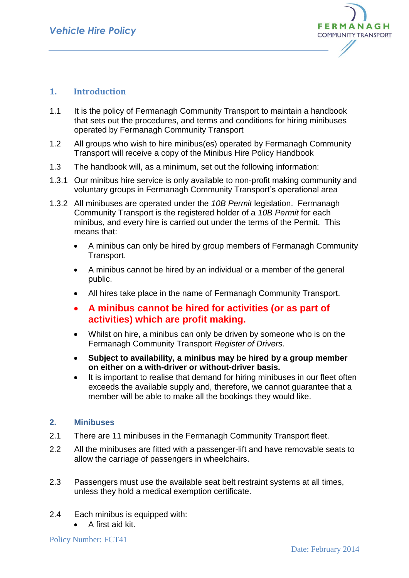

# **1. Introduction**

- 1.1 It is the policy of Fermanagh Community Transport to maintain a handbook that sets out the procedures, and terms and conditions for hiring minibuses operated by Fermanagh Community Transport
- 1.2 All groups who wish to hire minibus(es) operated by Fermanagh Community Transport will receive a copy of the Minibus Hire Policy Handbook
- 1.3 The handbook will, as a minimum, set out the following information:
- 1.3.1 Our minibus hire service is only available to non-profit making community and voluntary groups in Fermanagh Community Transport's operational area
- 1.3.2 All minibuses are operated under the *10B Permit* legislation. Fermanagh Community Transport is the registered holder of a *10B Permit* for each minibus, and every hire is carried out under the terms of the Permit. This means that:
	- A minibus can only be hired by group members of Fermanagh Community Transport.
	- A minibus cannot be hired by an individual or a member of the general public.
	- All hires take place in the name of Fermanagh Community Transport.
	- **A minibus cannot be hired for activities (or as part of activities) which are profit making.**
	- Whilst on hire, a minibus can only be driven by someone who is on the Fermanagh Community Transport *Register of Drivers*.
	- **Subject to availability, a minibus may be hired by a group member on either on a with-driver or without-driver basis.**
	- It is important to realise that demand for hiring minibuses in our fleet often exceeds the available supply and, therefore, we cannot guarantee that a member will be able to make all the bookings they would like.

## **2. Minibuses**

- 2.1 There are 11 minibuses in the Fermanagh Community Transport fleet.
- 2.2 All the minibuses are fitted with a passenger-lift and have removable seats to allow the carriage of passengers in wheelchairs.
- 2.3 Passengers must use the available seat belt restraint systems at all times, unless they hold a medical exemption certificate.
- 2.4 Each minibus is equipped with:
	- A first aid kit.

Policy Number: FCT41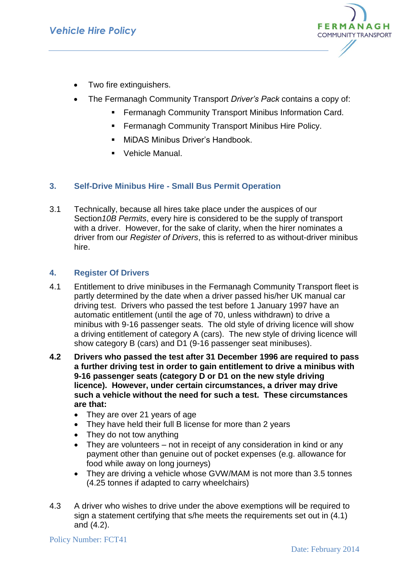

- Two fire extinguishers.
- The Fermanagh Community Transport *Driver's Pack* contains a copy of:
	- Fermanagh Community Transport Minibus Information Card.
	- **Fermanagh Community Transport Minibus Hire Policy.**
	- MiDAS Minibus Driver's Handbook.
	- Vehicle Manual.

# **3. Self-Drive Minibus Hire - Small Bus Permit Operation**

3.1 Technically, because all hires take place under the auspices of our Section*10B Permits*, every hire is considered to be the supply of transport with a driver. However, for the sake of clarity, when the hirer nominates a driver from our *Register of Drivers*, this is referred to as without-driver minibus hire.

## **4. Register Of Drivers**

- 4.1 Entitlement to drive minibuses in the Fermanagh Community Transport fleet is partly determined by the date when a driver passed his/her UK manual car driving test. Drivers who passed the test before 1 January 1997 have an automatic entitlement (until the age of 70, unless withdrawn) to drive a minibus with 9-16 passenger seats. The old style of driving licence will show a driving entitlement of category A (cars). The new style of driving licence will show category B (cars) and D1 (9-16 passenger seat minibuses).
- **4.2 Drivers who passed the test after 31 December 1996 are required to pass a further driving test in order to gain entitlement to drive a minibus with 9-16 passenger seats (category D or D1 on the new style driving licence). However, under certain circumstances, a driver may drive such a vehicle without the need for such a test. These circumstances are that:**
	- They are over 21 years of age
	- They have held their full B license for more than 2 years
	- They do not tow anything
	- They are volunteers not in receipt of any consideration in kind or any payment other than genuine out of pocket expenses (e.g. allowance for food while away on long journeys)
	- They are driving a vehicle whose GVW/MAM is not more than 3.5 tonnes (4.25 tonnes if adapted to carry wheelchairs)
- 4.3 A driver who wishes to drive under the above exemptions will be required to sign a statement certifying that s/he meets the requirements set out in (4.1) and (4.2).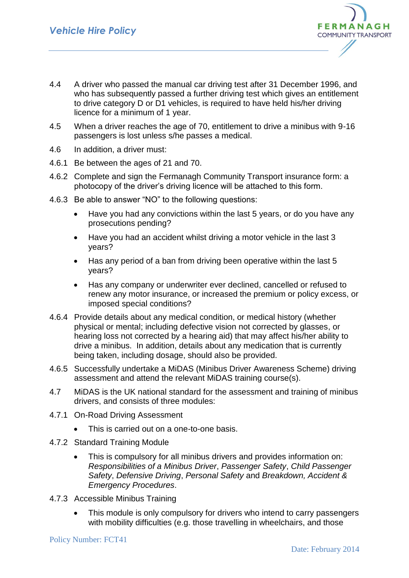

- 4.4 A driver who passed the manual car driving test after 31 December 1996, and who has subsequently passed a further driving test which gives an entitlement to drive category D or D1 vehicles, is required to have held his/her driving licence for a minimum of 1 year.
- 4.5 When a driver reaches the age of 70, entitlement to drive a minibus with 9-16 passengers is lost unless s/he passes a medical.
- 4.6 In addition, a driver must:
- 4.6.1 Be between the ages of 21 and 70.
- 4.6.2 Complete and sign the Fermanagh Community Transport insurance form: a photocopy of the driver's driving licence will be attached to this form.
- 4.6.3 Be able to answer "NO" to the following questions:
	- Have you had any convictions within the last 5 years, or do you have any prosecutions pending?
	- Have you had an accident whilst driving a motor vehicle in the last 3 years?
	- Has any period of a ban from driving been operative within the last 5 years?
	- Has any company or underwriter ever declined, cancelled or refused to renew any motor insurance, or increased the premium or policy excess, or imposed special conditions?
- 4.6.4 Provide details about any medical condition, or medical history (whether physical or mental; including defective vision not corrected by glasses, or hearing loss not corrected by a hearing aid) that may affect his/her ability to drive a minibus. In addition, details about any medication that is currently being taken, including dosage, should also be provided.
- 4.6.5 Successfully undertake a MiDAS (Minibus Driver Awareness Scheme) driving assessment and attend the relevant MiDAS training course(s).
- 4.7 MiDAS is the UK national standard for the assessment and training of minibus drivers, and consists of three modules:
- 4.7.1 On-Road Driving Assessment
	- This is carried out on a one-to-one basis.
- 4.7.2 Standard Training Module
	- This is compulsory for all minibus drivers and provides information on: *Responsibilities of a Minibus Driver*, *Passenger Safety*, *Child Passenger Safety*, *Defensive Driving*, *Personal Safety* and *Breakdown, Accident & Emergency Procedures*.
- 4.7.3 Accessible Minibus Training
	- This module is only compulsory for drivers who intend to carry passengers with mobility difficulties (e.g. those travelling in wheelchairs, and those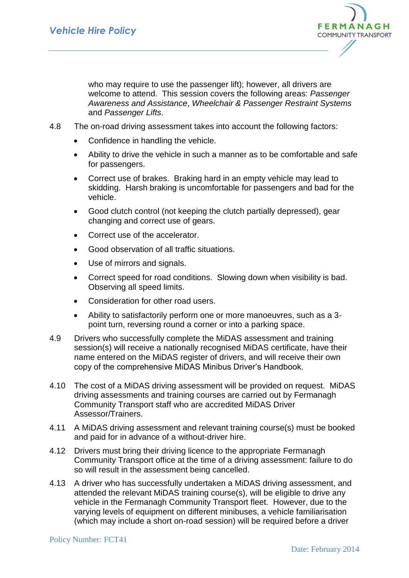

who may require to use the passenger lift); however, all drivers are welcome to attend. This session covers the following areas: *Passenger Awareness and Assistance*, *Wheelchair & Passenger Restraint Systems*  and *Passenger Lifts*.

- 4.8 The on-road driving assessment takes into account the following factors:
	- Confidence in handling the vehicle.
	- Ability to drive the vehicle in such a manner as to be comfortable and safe for passengers.
	- Correct use of brakes. Braking hard in an empty vehicle may lead to skidding. Harsh braking is uncomfortable for passengers and bad for the vehicle.
	- Good clutch control (not keeping the clutch partially depressed), gear changing and correct use of gears.
	- Correct use of the accelerator.
	- Good observation of all traffic situations.
	- Use of mirrors and signals.
	- Correct speed for road conditions. Slowing down when visibility is bad. Observing all speed limits.
	- Consideration for other road users.
	- Ability to satisfactorily perform one or more manoeuvres, such as a 3 point turn, reversing round a corner or into a parking space.
- 4.9 Drivers who successfully complete the MiDAS assessment and training session(s) will receive a nationally recognised MiDAS certificate, have their name entered on the MiDAS register of drivers, and will receive their own copy of the comprehensive MiDAS Minibus Driver's Handbook.
- 4.10 The cost of a MiDAS driving assessment will be provided on request. MiDAS driving assessments and training courses are carried out by Fermanagh Community Transport staff who are accredited MiDAS Driver Assessor/Trainers.
- 4.11 A MiDAS driving assessment and relevant training course(s) must be booked and paid for in advance of a without-driver hire.
- 4.12 Drivers must bring their driving licence to the appropriate Fermanagh Community Transport office at the time of a driving assessment: failure to do so will result in the assessment being cancelled.
- 4.13 A driver who has successfully undertaken a MiDAS driving assessment, and attended the relevant MiDAS training course(s), will be eligible to drive any vehicle in the Fermanagh Community Transport fleet. However, due to the varying levels of equipment on different minibuses, a vehicle familiarisation (which may include a short on-road session) will be required before a driver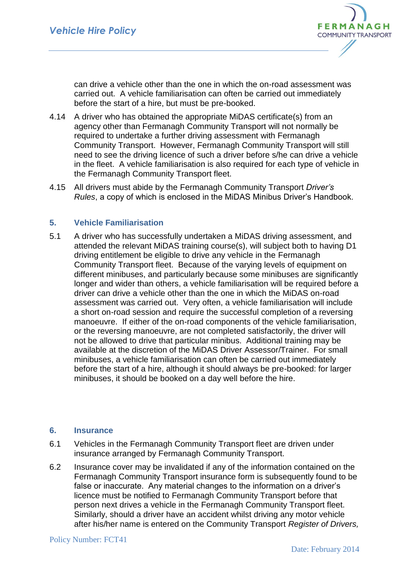

can drive a vehicle other than the one in which the on-road assessment was carried out. A vehicle familiarisation can often be carried out immediately before the start of a hire, but must be pre-booked.

- 4.14 A driver who has obtained the appropriate MiDAS certificate(s) from an agency other than Fermanagh Community Transport will not normally be required to undertake a further driving assessment with Fermanagh Community Transport. However, Fermanagh Community Transport will still need to see the driving licence of such a driver before s/he can drive a vehicle in the fleet. A vehicle familiarisation is also required for each type of vehicle in the Fermanagh Community Transport fleet.
- 4.15 All drivers must abide by the Fermanagh Community Transport *Driver's Rules*, a copy of which is enclosed in the MiDAS Minibus Driver's Handbook.

## **5. Vehicle Familiarisation**

5.1 A driver who has successfully undertaken a MiDAS driving assessment, and attended the relevant MiDAS training course(s), will subject both to having D1 driving entitlement be eligible to drive any vehicle in the Fermanagh Community Transport fleet. Because of the varying levels of equipment on different minibuses, and particularly because some minibuses are significantly longer and wider than others, a vehicle familiarisation will be required before a driver can drive a vehicle other than the one in which the MiDAS on-road assessment was carried out. Very often, a vehicle familiarisation will include a short on-road session and require the successful completion of a reversing manoeuvre. If either of the on-road components of the vehicle familiarisation, or the reversing manoeuvre, are not completed satisfactorily, the driver will not be allowed to drive that particular minibus. Additional training may be available at the discretion of the MiDAS Driver Assessor/Trainer. For small minibuses, a vehicle familiarisation can often be carried out immediately before the start of a hire, although it should always be pre-booked: for larger minibuses, it should be booked on a day well before the hire.

#### **6. Insurance**

- 6.1 Vehicles in the Fermanagh Community Transport fleet are driven under insurance arranged by Fermanagh Community Transport.
- 6.2 Insurance cover may be invalidated if any of the information contained on the Fermanagh Community Transport insurance form is subsequently found to be false or inaccurate. Any material changes to the information on a driver's licence must be notified to Fermanagh Community Transport before that person next drives a vehicle in the Fermanagh Community Transport fleet. Similarly, should a driver have an accident whilst driving any motor vehicle after his/her name is entered on the Community Transport *Register of Drivers,*

#### Policy Number: FCT41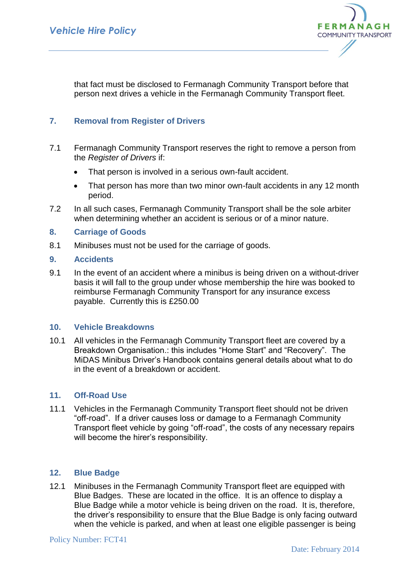

that fact must be disclosed to Fermanagh Community Transport before that person next drives a vehicle in the Fermanagh Community Transport fleet.

## **7. Removal from Register of Drivers**

- 7.1 Fermanagh Community Transport reserves the right to remove a person from the *Register of Drivers* if:
	- That person is involved in a serious own-fault accident.
	- That person has more than two minor own-fault accidents in any 12 month period.
- 7.2 In all such cases, Fermanagh Community Transport shall be the sole arbiter when determining whether an accident is serious or of a minor nature.

### **8. Carriage of Goods**

8.1 Minibuses must not be used for the carriage of goods.

### **9. Accidents**

9.1 In the event of an accident where a minibus is being driven on a without-driver basis it will fall to the group under whose membership the hire was booked to reimburse Fermanagh Community Transport for any insurance excess payable. Currently this is £250.00

### **10. Vehicle Breakdowns**

10.1 All vehicles in the Fermanagh Community Transport fleet are covered by a Breakdown Organisation.: this includes "Home Start" and "Recovery". The MiDAS Minibus Driver's Handbook contains general details about what to do in the event of a breakdown or accident.

#### **11. Off-Road Use**

11.1 Vehicles in the Fermanagh Community Transport fleet should not be driven "off-road". If a driver causes loss or damage to a Fermanagh Community Transport fleet vehicle by going "off-road", the costs of any necessary repairs will become the hirer's responsibility.

## **12. Blue Badge**

12.1 Minibuses in the Fermanagh Community Transport fleet are equipped with Blue Badges. These are located in the office. It is an offence to display a Blue Badge while a motor vehicle is being driven on the road. It is, therefore, the driver's responsibility to ensure that the Blue Badge is only facing outward when the vehicle is parked, and when at least one eligible passenger is being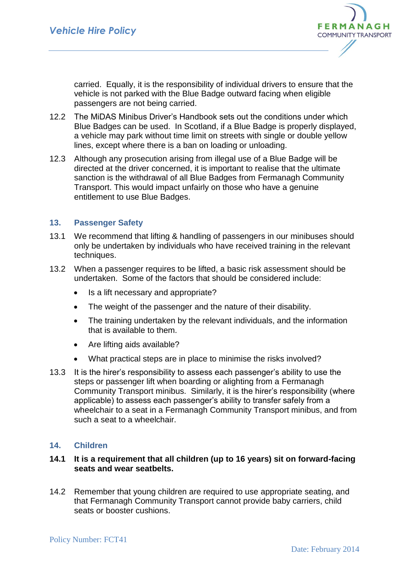

carried. Equally, it is the responsibility of individual drivers to ensure that the vehicle is not parked with the Blue Badge outward facing when eligible passengers are not being carried.

- 12.2 The MiDAS Minibus Driver's Handbook sets out the conditions under which Blue Badges can be used. In Scotland, if a Blue Badge is properly displayed, a vehicle may park without time limit on streets with single or double yellow lines, except where there is a ban on loading or unloading.
- 12.3 Although any prosecution arising from illegal use of a Blue Badge will be directed at the driver concerned, it is important to realise that the ultimate sanction is the withdrawal of all Blue Badges from Fermanagh Community Transport. This would impact unfairly on those who have a genuine entitlement to use Blue Badges.

### **13. Passenger Safety**

- 13.1 We recommend that lifting & handling of passengers in our minibuses should only be undertaken by individuals who have received training in the relevant techniques.
- 13.2 When a passenger requires to be lifted, a basic risk assessment should be undertaken. Some of the factors that should be considered include:
	- Is a lift necessary and appropriate?
	- The weight of the passenger and the nature of their disability.
	- The training undertaken by the relevant individuals, and the information that is available to them.
	- Are lifting aids available?
	- What practical steps are in place to minimise the risks involved?
- 13.3 It is the hirer's responsibility to assess each passenger's ability to use the steps or passenger lift when boarding or alighting from a Fermanagh Community Transport minibus. Similarly, it is the hirer's responsibility (where applicable) to assess each passenger's ability to transfer safely from a wheelchair to a seat in a Fermanagh Community Transport minibus, and from such a seat to a wheelchair.

## **14. Children**

## **14.1 It is a requirement that all children (up to 16 years) sit on forward-facing seats and wear seatbelts.**

14.2 Remember that young children are required to use appropriate seating, and that Fermanagh Community Transport cannot provide baby carriers, child seats or booster cushions.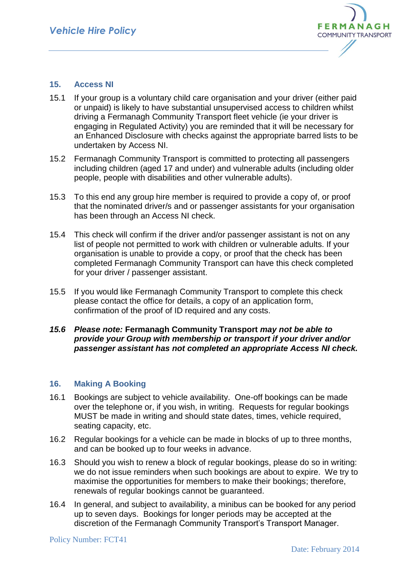

### **15. Access NI**

- 15.1 If your group is a voluntary child care organisation and your driver (either paid or unpaid) is likely to have substantial unsupervised access to children whilst driving a Fermanagh Community Transport fleet vehicle (ie your driver is engaging in Regulated Activity) you are reminded that it will be necessary for an Enhanced Disclosure with checks against the appropriate barred lists to be undertaken by Access NI.
- 15.2 Fermanagh Community Transport is committed to protecting all passengers including children (aged 17 and under) and vulnerable adults (including older people, people with disabilities and other vulnerable adults).
- 15.3 To this end any group hire member is required to provide a copy of, or proof that the nominated driver/s and or passenger assistants for your organisation has been through an Access NI check.
- 15.4 This check will confirm if the driver and/or passenger assistant is not on any list of people not permitted to work with children or vulnerable adults. If your organisation is unable to provide a copy, or proof that the check has been completed Fermanagh Community Transport can have this check completed for your driver / passenger assistant.
- 15.5 If you would like Fermanagh Community Transport to complete this check please contact the office for details, a copy of an application form, confirmation of the proof of ID required and any costs.

### *15.6 Please note:* **Fermanagh Community Transport** *may not be able to provide your Group with membership or transport if your driver and/or passenger assistant has not completed an appropriate Access NI check.*

#### **16. Making A Booking**

- 16.1 Bookings are subject to vehicle availability. One-off bookings can be made over the telephone or, if you wish, in writing. Requests for regular bookings MUST be made in writing and should state dates, times, vehicle required, seating capacity, etc.
- 16.2 Regular bookings for a vehicle can be made in blocks of up to three months, and can be booked up to four weeks in advance.
- 16.3 Should you wish to renew a block of regular bookings, please do so in writing: we do not issue reminders when such bookings are about to expire. We try to maximise the opportunities for members to make their bookings; therefore, renewals of regular bookings cannot be guaranteed.
- 16.4 In general, and subject to availability, a minibus can be booked for any period up to seven days. Bookings for longer periods may be accepted at the discretion of the Fermanagh Community Transport's Transport Manager.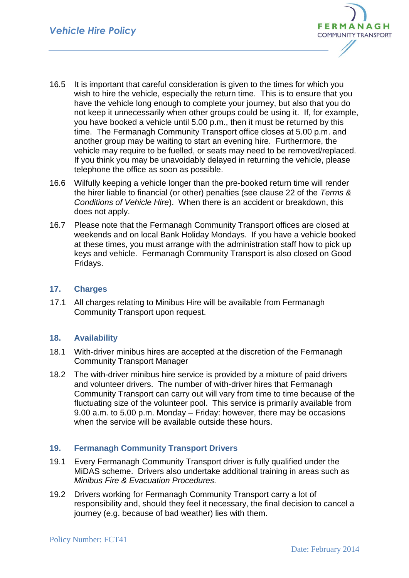

- 16.5 It is important that careful consideration is given to the times for which you wish to hire the vehicle, especially the return time. This is to ensure that you have the vehicle long enough to complete your journey, but also that you do not keep it unnecessarily when other groups could be using it. If, for example, you have booked a vehicle until 5.00 p.m., then it must be returned by this time. The Fermanagh Community Transport office closes at 5.00 p.m. and another group may be waiting to start an evening hire. Furthermore, the vehicle may require to be fuelled, or seats may need to be removed/replaced. If you think you may be unavoidably delayed in returning the vehicle, please telephone the office as soon as possible.
- 16.6 Wilfully keeping a vehicle longer than the pre-booked return time will render the hirer liable to financial (or other) penalties (see clause 22 of the *Terms & Conditions of Vehicle Hire*). When there is an accident or breakdown, this does not apply.
- 16.7 Please note that the Fermanagh Community Transport offices are closed at weekends and on local Bank Holiday Mondays. If you have a vehicle booked at these times, you must arrange with the administration staff how to pick up keys and vehicle. Fermanagh Community Transport is also closed on Good Fridays.

### **17. Charges**

17.1 All charges relating to Minibus Hire will be available from Fermanagh Community Transport upon request.

## **18. Availability**

- 18.1 With-driver minibus hires are accepted at the discretion of the Fermanagh Community Transport Manager
- 18.2 The with-driver minibus hire service is provided by a mixture of paid drivers and volunteer drivers. The number of with-driver hires that Fermanagh Community Transport can carry out will vary from time to time because of the fluctuating size of the volunteer pool. This service is primarily available from 9.00 a.m. to 5.00 p.m. Monday – Friday: however, there may be occasions when the service will be available outside these hours.

## **19. Fermanagh Community Transport Drivers**

- 19.1 Every Fermanagh Community Transport driver is fully qualified under the MiDAS scheme. Drivers also undertake additional training in areas such as *Minibus Fire & Evacuation Procedures.*
- 19.2 Drivers working for Fermanagh Community Transport carry a lot of responsibility and, should they feel it necessary, the final decision to cancel a journey (e.g. because of bad weather) lies with them.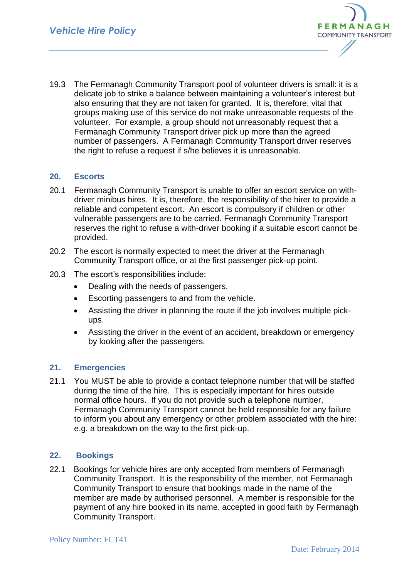

19.3 The Fermanagh Community Transport pool of volunteer drivers is small: it is a delicate job to strike a balance between maintaining a volunteer's interest but also ensuring that they are not taken for granted. It is, therefore, vital that groups making use of this service do not make unreasonable requests of the volunteer. For example, a group should not unreasonably request that a Fermanagh Community Transport driver pick up more than the agreed number of passengers. A Fermanagh Community Transport driver reserves the right to refuse a request if s/he believes it is unreasonable.

### **20. Escorts**

- 20.1 Fermanagh Community Transport is unable to offer an escort service on withdriver minibus hires. It is, therefore, the responsibility of the hirer to provide a reliable and competent escort. An escort is compulsory if children or other vulnerable passengers are to be carried. Fermanagh Community Transport reserves the right to refuse a with-driver booking if a suitable escort cannot be provided.
- 20.2 The escort is normally expected to meet the driver at the Fermanagh Community Transport office, or at the first passenger pick-up point.
- 20.3 The escort's responsibilities include:
	- Dealing with the needs of passengers.
	- Escorting passengers to and from the vehicle.
	- Assisting the driver in planning the route if the job involves multiple pickups.
	- Assisting the driver in the event of an accident, breakdown or emergency by looking after the passengers.

#### **21. Emergencies**

21.1 You MUST be able to provide a contact telephone number that will be staffed during the time of the hire. This is especially important for hires outside normal office hours. If you do not provide such a telephone number, Fermanagh Community Transport cannot be held responsible for any failure to inform you about any emergency or other problem associated with the hire: e.g. a breakdown on the way to the first pick-up.

#### **22. Bookings**

22.1 Bookings for vehicle hires are only accepted from members of Fermanagh Community Transport. It is the responsibility of the member, not Fermanagh Community Transport to ensure that bookings made in the name of the member are made by authorised personnel. A member is responsible for the payment of any hire booked in its name. accepted in good faith by Fermanagh Community Transport.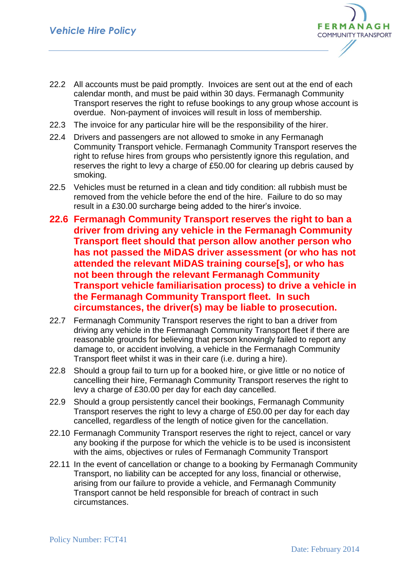

- 22.2 All accounts must be paid promptly. Invoices are sent out at the end of each calendar month, and must be paid within 30 days. Fermanagh Community Transport reserves the right to refuse bookings to any group whose account is overdue. Non-payment of invoices will result in loss of membership.
- 22.3 The invoice for any particular hire will be the responsibility of the hirer.
- 22.4 Drivers and passengers are not allowed to smoke in any Fermanagh Community Transport vehicle. Fermanagh Community Transport reserves the right to refuse hires from groups who persistently ignore this regulation, and reserves the right to levy a charge of £50.00 for clearing up debris caused by smoking.
- 22.5 Vehicles must be returned in a clean and tidy condition: all rubbish must be removed from the vehicle before the end of the hire. Failure to do so may result in a £30.00 surcharge being added to the hirer's invoice.
- **22.6 Fermanagh Community Transport reserves the right to ban a driver from driving any vehicle in the Fermanagh Community Transport fleet should that person allow another person who has not passed the MiDAS driver assessment (or who has not attended the relevant MiDAS training course[s], or who has not been through the relevant Fermanagh Community Transport vehicle familiarisation process) to drive a vehicle in the Fermanagh Community Transport fleet. In such circumstances, the driver(s) may be liable to prosecution.**
- 22.7 Fermanagh Community Transport reserves the right to ban a driver from driving any vehicle in the Fermanagh Community Transport fleet if there are reasonable grounds for believing that person knowingly failed to report any damage to, or accident involving, a vehicle in the Fermanagh Community Transport fleet whilst it was in their care (i.e. during a hire).
- 22.8 Should a group fail to turn up for a booked hire, or give little or no notice of cancelling their hire, Fermanagh Community Transport reserves the right to levy a charge of £30.00 per day for each day cancelled.
- 22.9 Should a group persistently cancel their bookings, Fermanagh Community Transport reserves the right to levy a charge of £50.00 per day for each day cancelled, regardless of the length of notice given for the cancellation.
- 22.10 Fermanagh Community Transport reserves the right to reject, cancel or vary any booking if the purpose for which the vehicle is to be used is inconsistent with the aims, objectives or rules of Fermanagh Community Transport
- 22.11 In the event of cancellation or change to a booking by Fermanagh Community Transport, no liability can be accepted for any loss, financial or otherwise, arising from our failure to provide a vehicle, and Fermanagh Community Transport cannot be held responsible for breach of contract in such circumstances.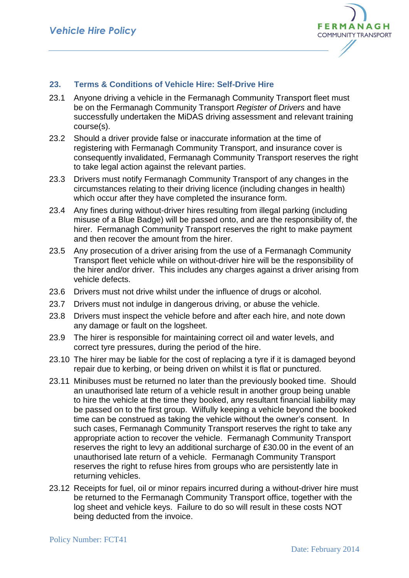

# **23. Terms & Conditions of Vehicle Hire: Self-Drive Hire**

- 23.1 Anyone driving a vehicle in the Fermanagh Community Transport fleet must be on the Fermanagh Community Transport *Register of Drivers* and have successfully undertaken the MiDAS driving assessment and relevant training course(s).
- 23.2 Should a driver provide false or inaccurate information at the time of registering with Fermanagh Community Transport, and insurance cover is consequently invalidated, Fermanagh Community Transport reserves the right to take legal action against the relevant parties.
- 23.3 Drivers must notify Fermanagh Community Transport of any changes in the circumstances relating to their driving licence (including changes in health) which occur after they have completed the insurance form.
- 23.4 Any fines during without-driver hires resulting from illegal parking (including misuse of a Blue Badge) will be passed onto, and are the responsibility of, the hirer. Fermanagh Community Transport reserves the right to make payment and then recover the amount from the hirer.
- 23.5 Any prosecution of a driver arising from the use of a Fermanagh Community Transport fleet vehicle while on without-driver hire will be the responsibility of the hirer and/or driver. This includes any charges against a driver arising from vehicle defects.
- 23.6 Drivers must not drive whilst under the influence of drugs or alcohol.
- 23.7 Drivers must not indulge in dangerous driving, or abuse the vehicle.
- 23.8 Drivers must inspect the vehicle before and after each hire, and note down any damage or fault on the logsheet.
- 23.9 The hirer is responsible for maintaining correct oil and water levels, and correct tyre pressures, during the period of the hire.
- 23.10 The hirer may be liable for the cost of replacing a tyre if it is damaged beyond repair due to kerbing, or being driven on whilst it is flat or punctured.
- 23.11 Minibuses must be returned no later than the previously booked time. Should an unauthorised late return of a vehicle result in another group being unable to hire the vehicle at the time they booked, any resultant financial liability may be passed on to the first group. Wilfully keeping a vehicle beyond the booked time can be construed as taking the vehicle without the owner's consent. In such cases, Fermanagh Community Transport reserves the right to take any appropriate action to recover the vehicle. Fermanagh Community Transport reserves the right to levy an additional surcharge of £30.00 in the event of an unauthorised late return of a vehicle. Fermanagh Community Transport reserves the right to refuse hires from groups who are persistently late in returning vehicles.
- 23.12 Receipts for fuel, oil or minor repairs incurred during a without-driver hire must be returned to the Fermanagh Community Transport office, together with the log sheet and vehicle keys. Failure to do so will result in these costs NOT being deducted from the invoice.